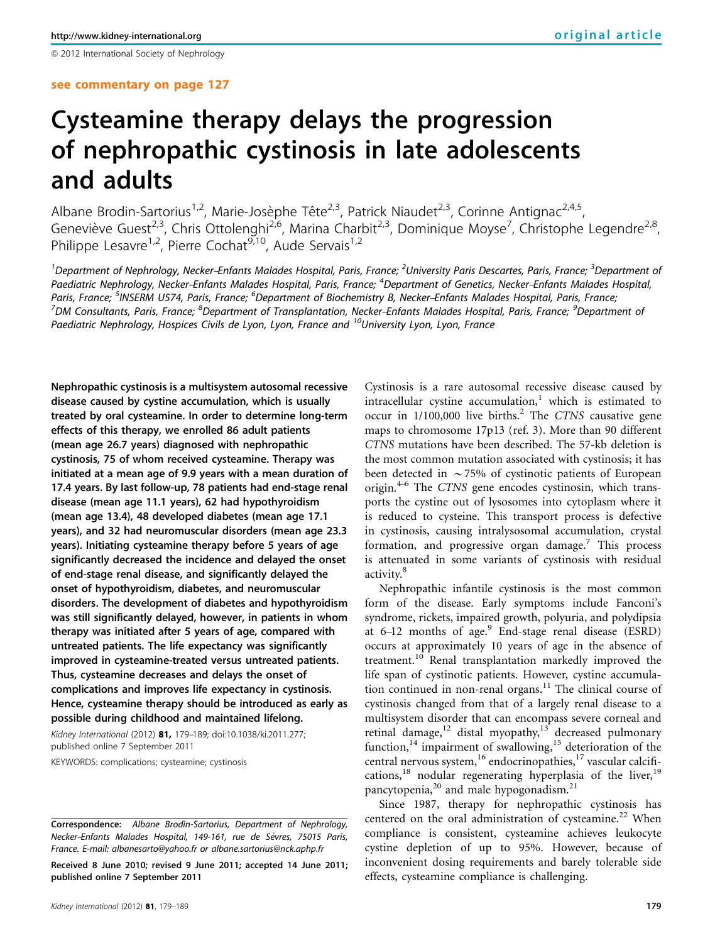# Cysteamine therapy delays the progression of nephropathic cystinosis in late adolescents and adults

Albane Brodin-Sartorius<sup>1,2</sup>, Marie-Josèphe Tête<sup>2,3</sup>, Patrick Niaudet<sup>2,3</sup>, Corinne Antignac<sup>2,4,5</sup>, Geneviève Guest<sup>2,3</sup>, Chris Ottolenghi<sup>2,6</sup>, Marina Charbit<sup>2,3</sup>, Dominique Moyse<sup>7</sup>, Christophe Legendre<sup>2,8</sup>, Philippe Lesavre<sup>1,2</sup>, Pierre Cochat<sup>9,10</sup>, Aude Servais<sup>1,2</sup>

<sup>1</sup>Department of Nephrology, Necker–Enfants Malades Hospital, Paris, France; <sup>2</sup>University Paris Descartes, Paris, France; <sup>3</sup>Department of Paediatric Nephrology, Necker–Enfants Malades Hospital, Paris, France; <sup>4</sup>Department of Genetics, Necker–Enfants Malades Hospital, Paris, France; <sup>5</sup>INSERM U574, Paris, France; <sup>6</sup>Department of Biochemistry B, Necker–Enfants Malades Hospital, Paris, France;<br><sup>7</sup>DM Consultants, Baris, France: <sup>8</sup>Department of Transplantation, Necker Enfants Malades Hosp .<br>DM Consultants, Paris, France; <sup>8</sup>Department of Transplantation, Necker–Enfants Malades Hospital, Paris, France; <sup>9</sup>Department of Paediatric Nephrology, Hospices Civils de Lyon, Lyon, France and <sup>10</sup>University Lyon, Lyon, France

Nephropathic cystinosis is a multisystem autosomal recessive disease caused by cystine accumulation, which is usually treated by oral cysteamine. In order to determine long-term effects of this therapy, we enrolled 86 adult patients (mean age 26.7 years) diagnosed with nephropathic cystinosis, 75 of whom received cysteamine. Therapy was initiated at a mean age of 9.9 years with a mean duration of 17.4 years. By last follow-up, 78 patients had end-stage renal disease (mean age 11.1 years), 62 had hypothyroidism (mean age 13.4), 48 developed diabetes (mean age 17.1 years), and 32 had neuromuscular disorders (mean age 23.3 years). Initiating cysteamine therapy before 5 years of age significantly decreased the incidence and delayed the onset of end-stage renal disease, and significantly delayed the onset of hypothyroidism, diabetes, and neuromuscular disorders. The development of diabetes and hypothyroidism was still significantly delayed, however, in patients in whom therapy was initiated after 5 years of age, compared with untreated patients. The life expectancy was significantly improved in cysteamine-treated versus untreated patients. Thus, cysteamine decreases and delays the onset of complications and improves life expectancy in cystinosis. Hence, cysteamine therapy should be introduced as early as possible during childhood and maintained lifelong.

Kidney International (2012) 81, 179–189; doi[:10.1038/ki.2011.277](http://dx.doi.org/10.1038/ki.2011.277); published online 7 September 2011 KEYWORDS: complications; cysteamine; cystinosis

Received 8 June 2010; revised 9 June 2011; accepted 14 June 2011; published online 7 September 2011

Cystinosis is a rare autosomal recessive disease caused by intracellular cystine accumulation,<sup>[1](#page-9-0)</sup> which is estimated to occur in  $1/100,000$  live births.<sup>[2](#page-9-0)</sup> The CTNS causative gene maps to chromosome 17p13 (ref. 3). More than 90 different CTNS mutations have been described. The 57-kb deletion is the most common mutation associated with cystinosis; it has been detected in  $\sim$  75% of cystinotic patients of European origin.<sup>[4–6](#page-9-0)</sup> The CTNS gene encodes cystinosin, which transports the cystine out of lysosomes into cytoplasm where it is reduced to cysteine. This transport process is defective in cystinosis, causing intralysosomal accumulation, crystal formation, and progressive organ damage.<sup>[7](#page-9-0)</sup> This process is attenuated in some variants of cystinosis with residual activity.<sup>[8](#page-9-0)</sup>

Nephropathic infantile cystinosis is the most common form of the disease. Early symptoms include Fanconi's syndrome, rickets, impaired growth, polyuria, and polydipsia at  $6-12$  months of age.<sup>[9](#page-9-0)</sup> End-stage renal disease (ESRD) occurs at approximately 10 years of age in the absence of treatment.<sup>[10](#page-9-0)</sup> Renal transplantation markedly improved the life span of cystinotic patients. However, cystine accumula-tion continued in non-renal organs.<sup>[11](#page-9-0)</sup> The clinical course of cystinosis changed from that of a largely renal disease to a multisystem disorder that can encompass severe corneal and retinal damage,<sup>12</sup> distal myopathy,<sup>[13](#page-9-0)</sup> decreased pulmonary function,<sup>[14](#page-9-0)</sup> impairment of swallowing,<sup>[15](#page-9-0)</sup> deterioration of the central nervous system,  $^{16}$  endocrinopathies,  $^{17}$  vascular calcifications,  $18$  nodular regenerating hyperplasia of the liver,  $19$ pancytopenia, $^{20}$  $^{20}$  $^{20}$  and male hypogonadism. $^{21}$  $^{21}$  $^{21}$ 

Since 1987, therapy for nephropathic cystinosis has centered on the oral administration of cysteamine.<sup>[22](#page-9-0)</sup> When compliance is consistent, cysteamine achieves leukocyte cystine depletion of up to 95%. However, because of inconvenient dosing requirements and barely tolerable side effects, cysteamine compliance is challenging.

Correspondence: Albane Brodin-Sartorius, Department of Nephrology, Necker-Enfants Malades Hospital, 149-161, rue de Sèvres, 75015 Paris, France. E-mail: [albanesarto@yahoo.fr](mailto:albanesarto@yahoo.fr) or [albane.sartorius@nck.aphp.fr](mailto:albane.sartorius@nck.aphp.fr)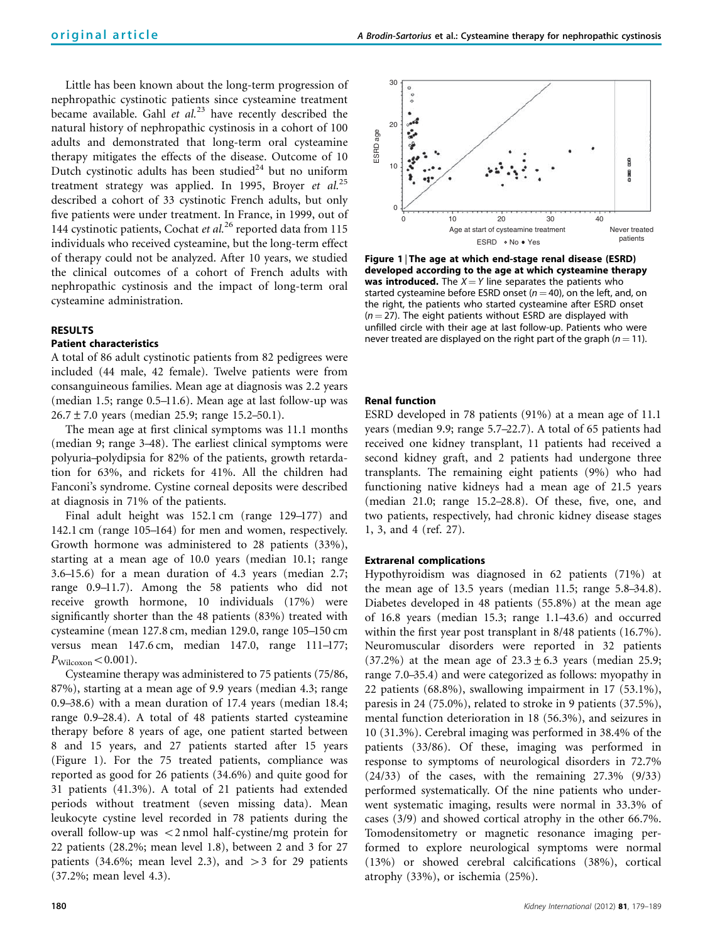<span id="page-1-0"></span>Little has been known about the long-term progression of nephropathic cystinotic patients since cysteamine treatment became available. Gahl et  $al.^{23}$  $al.^{23}$  $al.^{23}$  have recently described the natural history of nephropathic cystinosis in a cohort of 100 adults and demonstrated that long-term oral cysteamine therapy mitigates the effects of the disease. Outcome of 10 Dutch cystinotic adults has been studied $24$  but no uniform treatment strategy was applied. In 1995, Broyer et  $al.^{25}$  $al.^{25}$  $al.^{25}$ described a cohort of 33 cystinotic French adults, but only five patients were under treatment. In France, in 1999, out of 144 cystinotic patients, Cochat et  $al.^{26}$  $al.^{26}$  $al.^{26}$  reported data from 115 individuals who received cysteamine, but the long-term effect of therapy could not be analyzed. After 10 years, we studied the clinical outcomes of a cohort of French adults with nephropathic cystinosis and the impact of long-term oral cysteamine administration.

#### RESULTS

# Patient characteristics

A total of 86 adult cystinotic patients from 82 pedigrees were included (44 male, 42 female). Twelve patients were from consanguineous families. Mean age at diagnosis was 2.2 years (median 1.5; range 0.5–11.6). Mean age at last follow-up was  $26.7 \pm 7.0$  years (median 25.9; range 15.2–50.1).

The mean age at first clinical symptoms was 11.1 months (median 9; range 3–48). The earliest clinical symptoms were polyuria–polydipsia for 82% of the patients, growth retardation for 63%, and rickets for 41%. All the children had Fanconi's syndrome. Cystine corneal deposits were described at diagnosis in 71% of the patients.

Final adult height was 152.1 cm (range 129–177) and 142.1 cm (range 105–164) for men and women, respectively. Growth hormone was administered to 28 patients (33%), starting at a mean age of 10.0 years (median 10.1; range 3.6–15.6) for a mean duration of 4.3 years (median 2.7; range 0.9–11.7). Among the 58 patients who did not receive growth hormone, 10 individuals (17%) were significantly shorter than the 48 patients (83%) treated with cysteamine (mean 127.8 cm, median 129.0, range 105–150 cm versus mean 147.6 cm, median 147.0, range 111–177;  $P_{\text{Wilcoxon}}$  < 0.001).

Cysteamine therapy was administered to 75 patients (75/86, 87%), starting at a mean age of 9.9 years (median 4.3; range 0.9–38.6) with a mean duration of 17.4 years (median 18.4; range 0.9–28.4). A total of 48 patients started cysteamine therapy before 8 years of age, one patient started between 8 and 15 years, and 27 patients started after 15 years (Figure 1). For the 75 treated patients, compliance was reported as good for 26 patients (34.6%) and quite good for 31 patients (41.3%). A total of 21 patients had extended periods without treatment (seven missing data). Mean leukocyte cystine level recorded in 78 patients during the overall follow-up was  $<$  2 nmol half-cystine/mg protein for 22 patients (28.2%; mean level 1.8), between 2 and 3 for 27 patients (34.6%; mean level 2.3), and  $>$ 3 for 29 patients (37.2%; mean level 4.3).



Figure 1 | The age at which end-stage renal disease (ESRD) developed according to the age at which cysteamine therapy was introduced. The  $X = Y$  line separates the patients who started cysteamine before ESRD onset ( $n = 40$ ), on the left, and, on the right, the patients who started cysteamine after ESRD onset  $(n = 27)$ . The eight patients without ESRD are displayed with unfilled circle with their age at last follow-up. Patients who were never treated are displayed on the right part of the graph ( $n = 11$ ).

#### Renal function

ESRD developed in 78 patients (91%) at a mean age of 11.1 years (median 9.9; range 5.7–22.7). A total of 65 patients had received one kidney transplant, 11 patients had received a second kidney graft, and 2 patients had undergone three transplants. The remaining eight patients (9%) who had functioning native kidneys had a mean age of 21.5 years (median 21.0; range 15.2–28.8). Of these, five, one, and two patients, respectively, had chronic kidney disease stages 1, 3, and 4 (ref. 27).

#### Extrarenal complications

Hypothyroidism was diagnosed in 62 patients (71%) at the mean age of 13.5 years (median 11.5; range 5.8–34.8). Diabetes developed in 48 patients (55.8%) at the mean age of 16.8 years (median 15.3; range 1.1–43.6) and occurred within the first year post transplant in 8/48 patients (16.7%). Neuromuscular disorders were reported in 32 patients (37.2%) at the mean age of  $23.3 \pm 6.3$  years (median 25.9; range 7.0–35.4) and were categorized as follows: myopathy in 22 patients (68.8%), swallowing impairment in 17 (53.1%), paresis in 24 (75.0%), related to stroke in 9 patients (37.5%), mental function deterioration in 18 (56.3%), and seizures in 10 (31.3%). Cerebral imaging was performed in 38.4% of the patients (33/86). Of these, imaging was performed in response to symptoms of neurological disorders in 72.7% (24/33) of the cases, with the remaining 27.3% (9/33) performed systematically. Of the nine patients who underwent systematic imaging, results were normal in 33.3% of cases (3/9) and showed cortical atrophy in the other 66.7%. Tomodensitometry or magnetic resonance imaging performed to explore neurological symptoms were normal (13%) or showed cerebral calcifications (38%), cortical atrophy (33%), or ischemia (25%).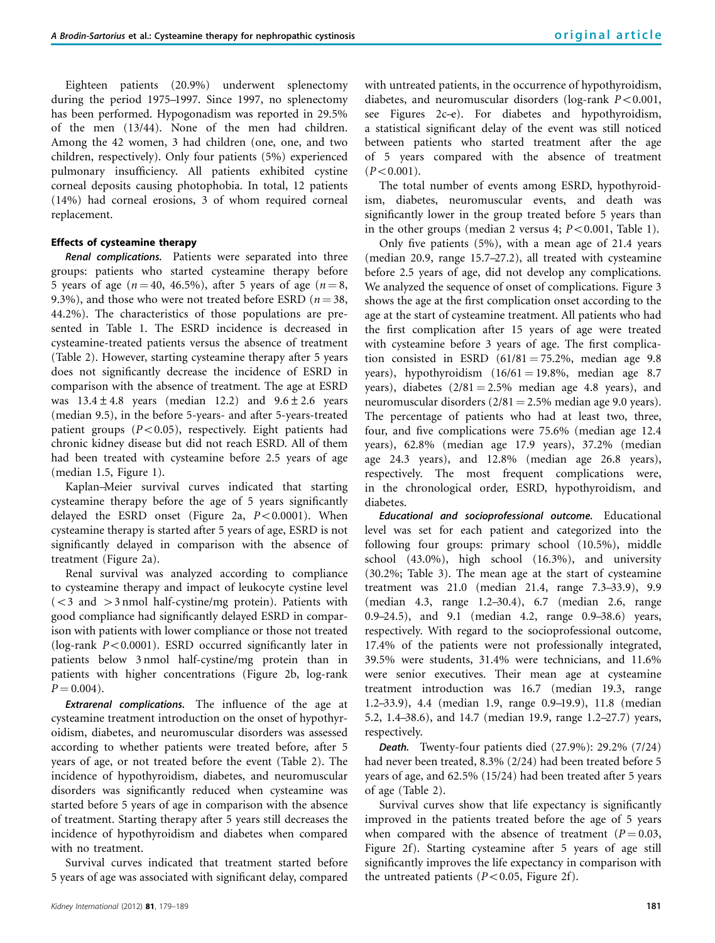Eighteen patients (20.9%) underwent splenectomy during the period 1975–1997. Since 1997, no splenectomy has been performed. Hypogonadism was reported in 29.5% of the men (13/44). None of the men had children. Among the 42 women, 3 had children (one, one, and two children, respectively). Only four patients (5%) experienced pulmonary insufficiency. All patients exhibited cystine corneal deposits causing photophobia. In total, 12 patients (14%) had corneal erosions, 3 of whom required corneal replacement.

# Effects of cysteamine therapy

Renal complications. Patients were separated into three groups: patients who started cysteamine therapy before 5 years of age ( $n = 40$ , 46.5%), after 5 years of age ( $n = 8$ , 9.3%), and those who were not treated before ESRD ( $n = 38$ , 44.2%). The characteristics of those populations are presented in [Table 1](#page-3-0). The ESRD incidence is decreased in cysteamine-treated patients versus the absence of treatment [\(Table 2](#page-5-0)). However, starting cysteamine therapy after 5 years does not significantly decrease the incidence of ESRD in comparison with the absence of treatment. The age at ESRD was  $13.4 \pm 4.8$  years (median 12.2) and  $9.6 \pm 2.6$  years (median 9.5), in the before 5-years- and after 5-years-treated patient groups  $(P<0.05)$ , respectively. Eight patients had chronic kidney disease but did not reach ESRD. All of them had been treated with cysteamine before 2.5 years of age (median 1.5, [Figure 1\)](#page-1-0).

Kaplan–Meier survival curves indicated that starting cysteamine therapy before the age of 5 years significantly delayed the ESRD onset [\(Figure 2a,](#page-7-0)  $P < 0.0001$ ). When cysteamine therapy is started after 5 years of age, ESRD is not significantly delayed in comparison with the absence of treatment ([Figure 2a\)](#page-7-0).

Renal survival was analyzed according to compliance to cysteamine therapy and impact of leukocyte cystine level  $\left($  < 3 and  $>$  3 nmol half-cystine/mg protein). Patients with good compliance had significantly delayed ESRD in comparison with patients with lower compliance or those not treated (log-rank  $P < 0.0001$ ). ESRD occurred significantly later in patients below 3 nmol half-cystine/mg protein than in patients with higher concentrations [\(Figure 2b,](#page-7-0) log-rank  $P = 0.004$ .

**Extrarenal complications.** The influence of the age at cysteamine treatment introduction on the onset of hypothyroidism, diabetes, and neuromuscular disorders was assessed according to whether patients were treated before, after 5 years of age, or not treated before the event [\(Table 2](#page-5-0)). The incidence of hypothyroidism, diabetes, and neuromuscular disorders was significantly reduced when cysteamine was started before 5 years of age in comparison with the absence of treatment. Starting therapy after 5 years still decreases the incidence of hypothyroidism and diabetes when compared with no treatment.

Survival curves indicated that treatment started before 5 years of age was associated with significant delay, compared with untreated patients, in the occurrence of hypothyroidism, diabetes, and neuromuscular disorders (log-rank  $P < 0.001$ , see [Figures 2c–e](#page-7-0)). For diabetes and hypothyroidism, a statistical significant delay of the event was still noticed between patients who started treatment after the age of 5 years compared with the absence of treatment  $(P<0.001)$ .

The total number of events among ESRD, hypothyroidism, diabetes, neuromuscular events, and death was significantly lower in the group treated before 5 years than in the other groups (median 2 versus 4;  $P < 0.001$ , [Table 1\)](#page-3-0).

Only five patients (5%), with a mean age of 21.4 years (median 20.9, range 15.7–27.2), all treated with cysteamine before 2.5 years of age, did not develop any complications. We analyzed the sequence of onset of complications. [Figure 3](#page-8-0) shows the age at the first complication onset according to the age at the start of cysteamine treatment. All patients who had the first complication after 15 years of age were treated with cysteamine before 3 years of age. The first complication consisted in ESRD  $(61/81 = 75.2\%$ , median age 9.8 years), hypothyroidism  $(16/61 = 19.8\%$ , median age 8.7 years), diabetes  $(2/81 = 2.5\%$  median age 4.8 years), and neuromuscular disorders  $(2/81 = 2.5\%$  median age 9.0 years). The percentage of patients who had at least two, three, four, and five complications were 75.6% (median age 12.4 years), 62.8% (median age 17.9 years), 37.2% (median age 24.3 years), and 12.8% (median age 26.8 years), respectively. The most frequent complications were, in the chronological order, ESRD, hypothyroidism, and diabetes.

Educational and socioprofessional outcome. Educational level was set for each patient and categorized into the following four groups: primary school (10.5%), middle school (43.0%), high school (16.3%), and university (30.2%; [Table 3\)](#page-8-0). The mean age at the start of cysteamine treatment was 21.0 (median 21.4, range 7.3–33.9), 9.9 (median 4.3, range 1.2–30.4), 6.7 (median 2.6, range 0.9–24.5), and 9.1 (median 4.2, range 0.9–38.6) years, respectively. With regard to the socioprofessional outcome, 17.4% of the patients were not professionally integrated, 39.5% were students, 31.4% were technicians, and 11.6% were senior executives. Their mean age at cysteamine treatment introduction was 16.7 (median 19.3, range 1.2–33.9), 4.4 (median 1.9, range 0.9–19.9), 11.8 (median 5.2, 1.4–38.6), and 14.7 (median 19.9, range 1.2–27.7) years, respectively.

Death. Twenty-four patients died (27.9%): 29.2% (7/24) had never been treated, 8.3% (2/24) had been treated before 5 years of age, and 62.5% (15/24) had been treated after 5 years of age ([Table 2](#page-5-0)).

Survival curves show that life expectancy is significantly improved in the patients treated before the age of 5 years when compared with the absence of treatment ( $P = 0.03$ , [Figure 2f](#page-7-0)). Starting cysteamine after 5 years of age still significantly improves the life expectancy in comparison with the untreated patients  $(P<0.05$ , [Figure 2f](#page-7-0)).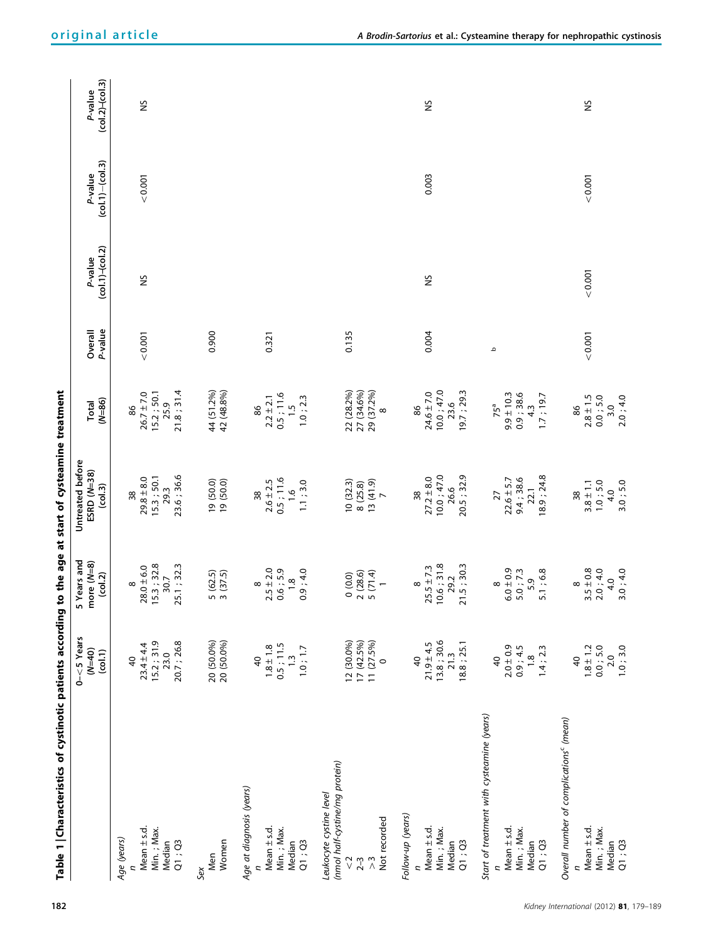<span id="page-3-0"></span>

| Table 1   Characteristics of cystinotic patients according to the age at start of cysteamine treatment |                                        |                                      |                                            |                          |                    |                                |                                |                                |
|--------------------------------------------------------------------------------------------------------|----------------------------------------|--------------------------------------|--------------------------------------------|--------------------------|--------------------|--------------------------------|--------------------------------|--------------------------------|
|                                                                                                        | $0 - < 5$ Years<br>$(M=40)$<br>(col.1) | 5 Years and<br>more (N=8)<br>(col.2) | Untreated before<br>ESRD (N=38)<br>(col.3) | $(N=86)$<br>Total        | P-value<br>Overall | $(col.1) - (col.2)$<br>P-value | $(col.1) - (col.3)$<br>P-value | $(col.2)$ $(col.3)$<br>P-value |
| Age (years)                                                                                            |                                        |                                      |                                            |                          |                    |                                |                                |                                |
| Mean $\pm$ s.d.                                                                                        | $23.4 \pm 4.4$<br>$\overline{a}$       | $28.0 \pm 6.0$<br>$\infty$           | $29.8 \pm 8.0$<br>38                       | $26.7 \pm 7.0$<br>86     | 0.001              | š                              | 0.001                          | S                              |
| Min.; Max.                                                                                             | 15.2; 31.9                             |                                      | 15.3; 50.1                                 | 15.2; 50.1               |                    |                                |                                |                                |
| Median                                                                                                 | 23.0                                   | $15.3 ; 32.8$<br>$30.7$              | 29.3                                       | 25.9                     |                    |                                |                                |                                |
| $Q1$ ; $Q3$                                                                                            | 20.7; 26.8                             | 25.1; 32.3                           | 23.6; 36.6                                 | 21.8; 31.4               |                    |                                |                                |                                |
| Sex                                                                                                    |                                        |                                      |                                            |                          |                    |                                |                                |                                |
| Men                                                                                                    | 20 (50.0%)<br>20 (50.0%)               | 5 (62.5)<br>3 (37.5)                 | 19 (50.0)<br>19 (50.0)                     | 44 (51.2%)<br>42 (48.8%) | 0.900              |                                |                                |                                |
| Women                                                                                                  |                                        |                                      |                                            |                          |                    |                                |                                |                                |
| Age at diagnosis (years)                                                                               |                                        |                                      |                                            |                          |                    |                                |                                |                                |
| C                                                                                                      | $\overline{6}$                         | $\infty$                             | 38                                         | 86                       |                    |                                |                                |                                |
| Mean $\pm$ s.d.                                                                                        | $1.8 \pm 1.8$                          | $2.5 \pm 2.0$                        | $2.6 \pm 2.5$                              | $2.2 \pm 2.1$            | 0.321              |                                |                                |                                |
| Min.; Max.                                                                                             | 0.5; 11.5                              | 0.6; 5.9                             | $0.5 ; 11.6$<br>1.6                        | $0.5 ; 11.6$<br>$1.5$    |                    |                                |                                |                                |
| Median                                                                                                 | $\ddot{.}$                             | 1.8                                  |                                            |                          |                    |                                |                                |                                |
| Q1; Q3                                                                                                 | 1.0; 1.7                               | 0.9; 4.0                             | 1.1; 3.0                                   | 1.0; 2.3                 |                    |                                |                                |                                |
| Leukocyte cystine level                                                                                |                                        |                                      |                                            |                          |                    |                                |                                |                                |
| (nmol half-cystine/mg protein)                                                                         |                                        |                                      |                                            |                          |                    |                                |                                |                                |
| $\sqrt{2}$                                                                                             | 12 (30.0%)                             | 0(0.0)                               | 10(32.3)                                   | 22 (28.2%)               | 0.135              |                                |                                |                                |
| $2-3$                                                                                                  | 17 (42.5%)                             |                                      | 8(25.8)                                    | 27 (34.6%)               |                    |                                |                                |                                |
| $\tilde{z}$                                                                                            | 11 (27.5%)                             | $2(28.6)$<br>5(71.4)                 | 13(41.9)                                   | 29 (37.2%)               |                    |                                |                                |                                |
| Not recorded                                                                                           | $\circ$                                |                                      |                                            | $\infty$                 |                    |                                |                                |                                |
| Follow-up (years)                                                                                      |                                        |                                      |                                            |                          |                    |                                |                                |                                |
|                                                                                                        | $\overline{4}$                         | $\infty$                             | $\frac{38}{2}$                             | 86                       |                    |                                |                                |                                |
| Mean $\pm$ s.d.                                                                                        | $21.9 \pm 4.5$                         | $25.5 \pm 7.3$                       | $27.2 \pm 8.0$                             | $24.6 \pm 7.0$           | 0.004              | š                              | 0.003                          | S                              |
| Min.; Max.                                                                                             | 13.8;30.6                              | 10.6; 31.8                           | 10.0; 47.0                                 | 10.0; 47.0               |                    |                                |                                |                                |
| $Q1$ ; $Q3$<br>Median                                                                                  | 18.8; 25.1<br>21.3                     | 21.5 ; 30.3<br>29.2                  | 20.5; 32.9<br>26.6                         | 19.7; 29.3<br>23.6       |                    |                                |                                |                                |
|                                                                                                        |                                        |                                      |                                            |                          |                    |                                |                                |                                |
| Start of treatment with cysteamine (years)                                                             |                                        |                                      |                                            | 75 <sup>a</sup>          | $\mathbf{D}$       |                                |                                |                                |
| Mean $\pm$ s.d.                                                                                        | $2.0 \pm 0.9$<br>$\overline{6}$        | $\infty$                             | $22.6 \pm 5.7$<br>27                       | $9.9 \pm 10.3$           |                    |                                |                                |                                |
| Min.; Max.                                                                                             | 0.9; 4.5                               | $6.0 \pm 0.9$<br>5.0; 7.3<br>5.9     | 9.4;38.6                                   | 0.9;38.6                 |                    |                                |                                |                                |
| Median                                                                                                 | $\frac{8}{18}$                         |                                      | 22.1                                       | $4.\overline{3}$         |                    |                                |                                |                                |
| $Q1$ ; $Q3$                                                                                            | 1.4; 2.3                               | 5.1 ; 6.8                            | 18.9; 24.8                                 | 1.7; 19.7                |                    |                                |                                |                                |
| Overall number of complications <sup>c</sup> (mean)                                                    |                                        |                                      |                                            |                          |                    |                                |                                |                                |
| $\overline{z}$                                                                                         | $\overline{4}$                         | $\infty$                             | $\frac{8}{30}$                             | 86                       |                    |                                |                                |                                |
| Mean $\pm$ s.d.                                                                                        | $1.8 \pm 1.2$                          | $3.5 \pm 0.8$                        | $3.8 \pm 1.1$                              | $2.8 \pm 1.5$            | 0.001              | 0.001                          | 0.001                          | SN                             |
| Min.; Max.<br>Median                                                                                   | 0.0; 5.0<br>2.0                        | 2.0; 4.0<br>4.0                      | 1.0; 5.0<br>4.0                            | 0.0; 5.0<br>3.0          |                    |                                |                                |                                |
| Q1; Q3                                                                                                 | 1.0; 3.0                               | 3.0; 4.0                             | 3.0; 5.0                                   | 2.0; 4.0                 |                    |                                |                                |                                |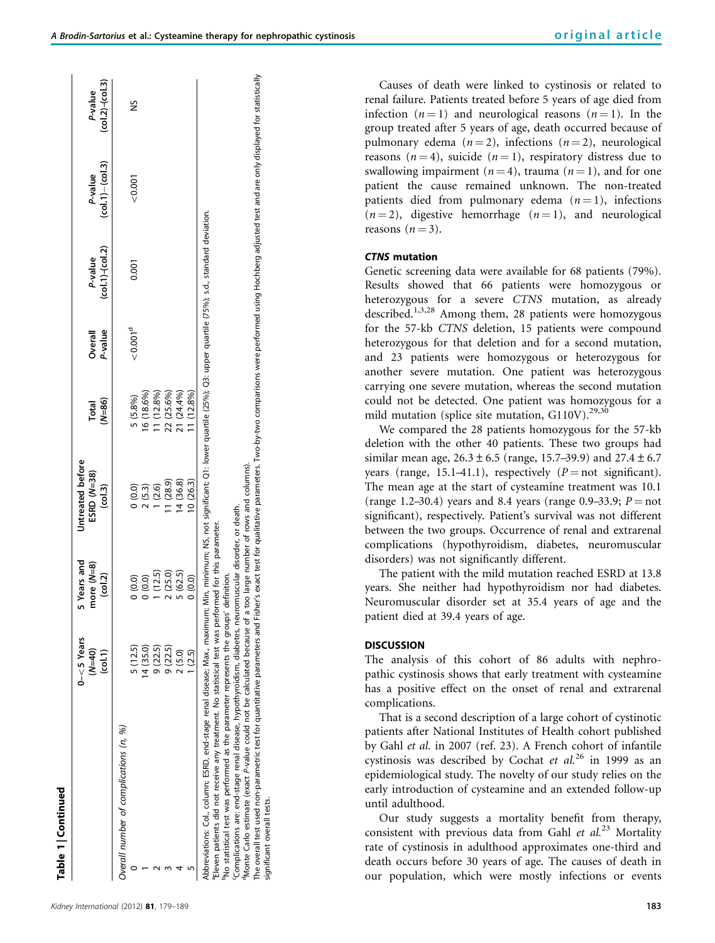| ٠ |
|---|
|   |
|   |
|   |
|   |
|   |
|   |
|   |

|                                                                                                                                                                                                                                                                                                                                                                                        | $0 - < 5$ Years<br>$(N=40)$<br>(col.1) | Years and<br>more (N=8)<br>(col.2)                              | Untreated before<br>ESRD (N=38)<br>(col.3) | $(N=86)$<br>Total | P-value<br>Overall | $(col.1) - (col.2)$<br>P-value | $(col.1) - (col.3)$<br>P-value | $(col.2)$ - $(col.3)$<br>P-value |
|----------------------------------------------------------------------------------------------------------------------------------------------------------------------------------------------------------------------------------------------------------------------------------------------------------------------------------------------------------------------------------------|----------------------------------------|-----------------------------------------------------------------|--------------------------------------------|-------------------|--------------------|--------------------------------|--------------------------------|----------------------------------|
| Overall number of complications (n, %)                                                                                                                                                                                                                                                                                                                                                 |                                        |                                                                 |                                            |                   |                    |                                |                                |                                  |
|                                                                                                                                                                                                                                                                                                                                                                                        | 5(12.5)                                |                                                                 | (0.0)                                      | 5 (5.8%)          | $0.001d$           | 0.001                          | < 0.001                        | š                                |
|                                                                                                                                                                                                                                                                                                                                                                                        | 14(35.0)                               | 0 (0.0)<br>0 (0.0)                                              | (5.3)                                      | 6 (18.6%)         |                    |                                |                                |                                  |
|                                                                                                                                                                                                                                                                                                                                                                                        | 9(22.5)                                |                                                                 | (2.6)                                      | $1(12.8\%)$       |                    |                                |                                |                                  |
|                                                                                                                                                                                                                                                                                                                                                                                        | 9(22.5)                                | $\begin{array}{c} 1 (12.5) \\ 2 (25.0) \\ 5 (62.5) \end{array}$ | (28.9)                                     | 22 (25.6%)        |                    |                                |                                |                                  |
|                                                                                                                                                                                                                                                                                                                                                                                        | 2(5.0)                                 |                                                                 | 14 (36.8)                                  | 21 (24.4%)        |                    |                                |                                |                                  |
|                                                                                                                                                                                                                                                                                                                                                                                        | (2.5)                                  | (0.0)                                                           | 10(26.3)                                   | $1(12.8\%)$       |                    |                                |                                |                                  |
| Abbreviations: Col., column; ESRD, end-stage renal disease; Max, maximum; Min, minimum; NS, not significant; Q1: lower quartile (25%); Q3: upper quartile (75%); s.d., standard deviation<br>Eleven patients did not receive any treatment. No statistical test was performed for this parameter<br>$\alpha$ No statistical test was performed as the narameter represents the orouns. |                                        | definition                                                      |                                            |                   |                    |                                |                                |                                  |
|                                                                                                                                                                                                                                                                                                                                                                                        |                                        |                                                                 |                                            |                   |                    |                                |                                |                                  |

Complications are: end-stage renal disease, hypothyroidism, diabetes, neuromuscular disorder, or death. cComplications are: end-stage renal disease, hypothyroidism, diabetes, neuromuscular disorder, or death. bNo statistical test was performed as the parameter represents the groups' definition.

dMonte Carlo estimate (exact P-value could not be calculated because of a too large number of rows and columns).

<sup>4</sup>Monte Carlo estimate (exact P-value could not be calculated because of a too large number of rows and columns).<br>The overall test used non-parametric test for quantitative parametr's searchers for qualitative parameters. The overall test unon-parametric test for quantitative parameters and Fisher's exact test for qualitative parameters. Two-by-two comparisons were performed using Hochberg adjusted test and are only displayed for statistica significant overall tests. significant overall tests.

Causes of death were linked to cystinosis or related to renal failure. Patients treated before 5 years of age died from infection  $(n = 1)$  and neurological reasons  $(n = 1)$ . In the group treated after 5 years of age, death occurred because of pulmonary edema  $(n = 2)$ , infections  $(n = 2)$ , neurological reasons ( $n = 4$ ), suicide ( $n = 1$ ), respiratory distress due to swallowing impairment ( $n = 4$ ), trauma ( $n = 1$ ), and for one patient the cause remained unknown. The non-treated patients died from pulmonary edema  $(n = 1)$ , infections  $(n = 2)$ , digestive hemorrhage  $(n = 1)$ , and neurological reasons  $(n = 3)$ .

# CTNS mutation

Genetic screening data were available for 68 patients (79%). Results showed that 66 patients were homozygous or heterozygous for a severe CTNS mutation, as already described.<sup>[1,3,28](#page-9-0)</sup> Among them, 28 patients were homozygous for the 57-kb CTNS deletion, 15 patients were compound heterozygous for that deletion and for a second mutation, and 23 patients were homozygous or heterozygous for another severe mutation. One patient was heterozygous carrying one severe mutation, whereas the second mutation could not be detected. One patient was homozygous for a mild mutation (splice site mutation,  $G110V$ ).<sup>[29,30](#page-9-0)</sup>

We compared the 28 patients homozygous for the 57-kb deletion with the other 40 patients. These two groups had similar mean age,  $26.3 \pm 6.5$  (range, 15.7–39.9) and  $27.4 \pm 6.7$ years (range, 15.1–41.1), respectively ( $P =$ not significant). The mean age at the start of cysteamine treatment was 10.1 (range 1.2–30.4) years and 8.4 years (range 0.9–33.9;  $P = not$ significant), respectively. Patient's survival was not different between the two groups. Occurrence of renal and extrarenal complications (hypothyroidism, diabetes, neuromuscular disorders) was not significantly different.

The patient with the mild mutation reached ESRD at 13.8 years. She neither had hypothyroidism nor had diabetes. Neuromuscular disorder set at 35.4 years of age and the patient died at 39.4 years of age.

# **DISCUSSION**

The analysis of this cohort of 86 adults with nephropathic cystinosis shows that early treatment with cysteamine has a positive effect on the onset of renal and extrarenal complications.

That is a second description of a large cohort of cystinotic patients after National Institutes of Health cohort published by Gahl et al. in 2007 (ref. 23). A French cohort of infantile cystinosis was described by Cochat et  $al$ <sup>[26](#page-9-0)</sup> in 1999 as an epidemiological study. The novelty of our study relies on the early introduction of cysteamine and an extended follow-up until adulthood.

Our study suggests a mortality benefit from therapy, consistent with previous data from Gahl et  $al^{23}$  $al^{23}$  $al^{23}$  Mortality rate of cystinosis in adulthood approximates one-third and death occurs before 30 years of age. The causes of death in our population, which were mostly infections or events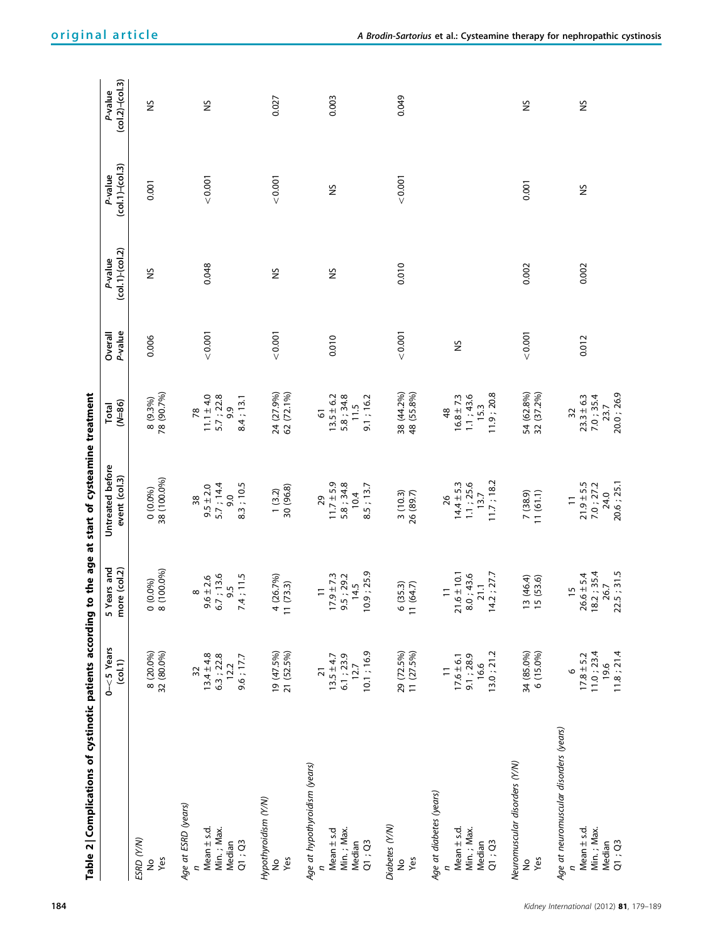<span id="page-5-0"></span>

| Table 2   Complications of cystinotic patients according to the age at start of cysteamine treatment |                                                                     |                                                                          |                                                                     |                                                                     |                    |                              |                                |                                  |
|------------------------------------------------------------------------------------------------------|---------------------------------------------------------------------|--------------------------------------------------------------------------|---------------------------------------------------------------------|---------------------------------------------------------------------|--------------------|------------------------------|--------------------------------|----------------------------------|
|                                                                                                      | $0 - < 5$ Years<br>(col.1)                                          | 5 Years and<br>more (col.2)                                              | Untreated before<br>event (col.3)                                   | $(N=86)$<br>Total                                                   | P-value<br>Overall | $(col.1)-(col.2)$<br>P-value | $(col.1)$ $(col.3)$<br>P-value | $(col.2)$ - $(col.3)$<br>P-value |
| ESRD (Y/N)<br>Yes<br>$\frac{1}{2}$                                                                   | 8 (20.0%)<br>32 (80.0%)                                             | $\begin{array}{c} 0.006 \\ 8 \ (100.0\%) \end{array}$                    | $\begin{array}{c} 0\ (0.0\%) \\ 38\ (100.0\%) \end{array}$          | 8 (9.3%)<br>78 (90.7%)                                              | 0.006              | $\frac{5}{2}$                | 0.001                          | S                                |
| Age at ESRD (years)<br>$Mean \pm s.d.$<br>Min.; Max.<br>Median<br>Q1; Q3                             | $13.4 \pm 4.8$<br>6.3; 22.8<br>9.6; 17.7<br>12.2<br>32              | $6.7; 13.6$<br>9.5<br>7.4; 11.5<br>$9.6 \pm 2.6$<br>$\infty$             | 5.7; 14.4<br>8.3; 10.5<br>$9.5 \pm 2.0$<br>0.6<br>38                | $11.1 \pm 4.0$<br>5.7 ; 22.8<br>8.4 ; 13.1<br>່ຈຶ<br>78             | 0.001              | 0.048                        | 0.001                          | $\frac{5}{2}$                    |
| Hypothyroidism (Y/N)<br>Yes<br>$\frac{1}{2}$                                                         | 19 (47.5%)<br>21 (52.5%)                                            | $4(26.7%)$<br>11 (73.3)                                                  | $1(3.2)$<br>30 (96.8)                                               | 24 (27.9%)<br>62 (72.1%)                                            | 0.001              | $\frac{5}{2}$                | 0.001                          | 0.027                            |
| Age at hypothyroidism (years)<br>Min.; Max.<br>Mean $\pm$ s.d<br>Median<br>Q1; Q3                    | 10.1; 16.9<br>6.1; 23.9<br>$13.5 \pm 4.7$<br>12.7<br>$\overline{z}$ | 10.9; 25.9<br>$17.9 \pm 7.3$<br>9.5 ; 29.2<br>14.5<br>$\equiv$           | $11.7 \pm 5.9$<br>5.8; 34.8<br>8.5; 13.7<br>10.4<br>29              | $13.5 \pm 6.2$<br>5.8; 34.8<br>9.1; 16.2<br>11.5<br>5               | 0.010              | SN                           | SN                             | 0.003                            |
| Age at diabetes (years)<br>Diabetes (Y/N)<br>Yes<br>$\frac{1}{2}$                                    | 29 (72.5%)<br>11 (27.5%)                                            | $6(35.3)$<br>11 $(64.7)$                                                 | 3 (10.3)<br>26 (89.7)                                               | 38 (44.2%)<br>48 (55.8%)                                            | 0.001              | 0.010                        | 0.001                          | 0.049                            |
| Mean $\pm$ s.d.<br>Min.; Max.<br>Median<br>Q1; Q3                                                    | 13.0; 21.2<br>9.1; 28.9<br>$17.6 \pm 6.1$<br>16.6<br>$\Xi$          | $21.6 \pm 10.1$<br>14.2 ; 27.7<br>8.0; 43.6<br>21.1<br>$\overline{z}$    | 11.7; 18.2<br>$14.4 \pm 5.3$<br>1.1 ; 25.6<br>13.7<br>26            | 11.9; 20.8<br>1.1; 43.6<br>$16.8 \pm 7.3$<br>15.3<br>$\frac{48}{5}$ | š                  |                              |                                |                                  |
| Neuromuscular disorders (Y/N)<br>Yes<br>$\frac{1}{2}$                                                | 34 (85.0%)<br>6 (15.0%)                                             | 13 (46.4)<br>15 (53.6)                                                   | $\begin{array}{c} 7 (38.9) \\ 11 (61.1) \end{array}$                | 54 (62.8%)<br>32 (37.2%)                                            | 0.001              | 0.002                        | 0.001                          | š                                |
| Age at neuromuscular disorders (years)<br>Mean $\pm$ s.d.<br>Min.; Max.<br>Q1; Q3<br>Median          | 11.0; 23.4<br>11.8; 21.4<br>$17.8 \pm 5.2$<br>19.6<br>$\circ$       | $18.2 ; 35.4$<br>$26.7$<br>22.5; 31.5<br>$26.6 \pm 5.4$<br>$\frac{5}{2}$ | 20.6; 25.1<br>$21.9 \pm 5.5$<br>7.0; 27.2<br>24.0<br>$\overline{1}$ | 20.0; 26.9<br>$23.3 \pm 6.3$<br>7.0; 35.4<br>23.7<br>32             | 0.012              | 0.002                        | ŠN                             | ŠN                               |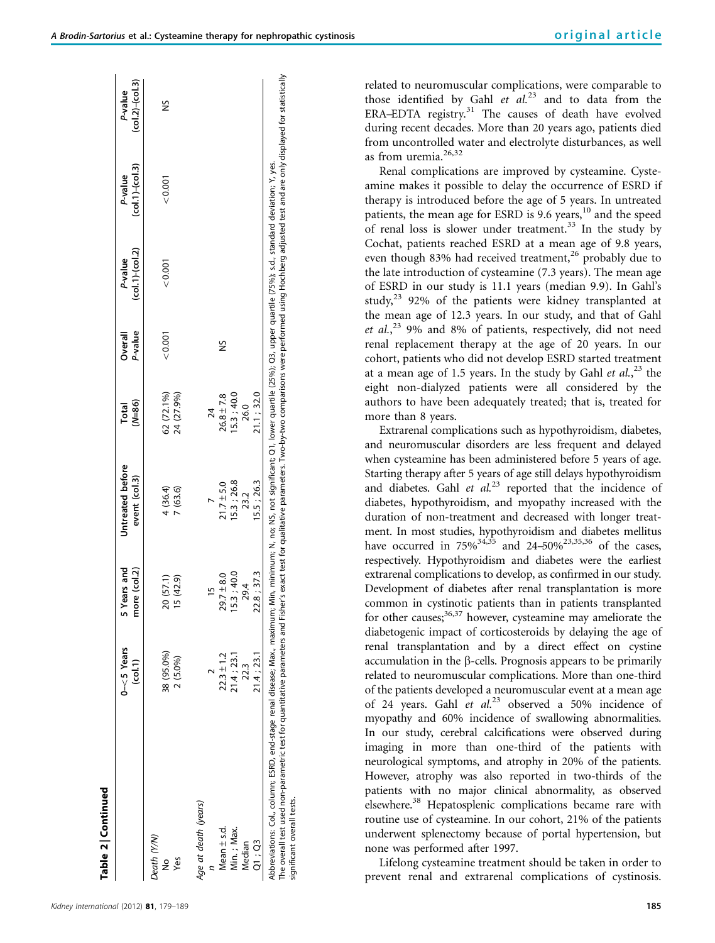| 62 (72.1%)<br>4 (36.4)<br>20(57.1)<br>38 (95.0%)<br>Death (Y/N)<br>ş                |            | P-value | $(col.1)-(col.2)$ | $(col.1)$ – $(col.3)$ | $(col.2)$ $(col.3)$ |
|-------------------------------------------------------------------------------------|------------|---------|-------------------|-----------------------|---------------------|
|                                                                                     |            | < 0.001 | < 0.001           | $\frac{2000}{5}$      | ž                   |
| 24 (27.9%)<br>7 (63.6)<br>15 (42.9)<br>$2(5.0\%)$<br>yes                            |            |         |                   |                       |                     |
| Age at death (years)                                                                |            |         |                   |                       |                     |
| 24<br>15                                                                            |            |         |                   |                       |                     |
| $26.8 \pm 7.8$<br>$21.7 \pm 5.0$<br>$29.7 \pm 8.0$<br>$22.3 \pm 1.2$<br>Mean ± s.d. |            | š       |                   |                       |                     |
| 15.3; 40.0<br>15.3; 26.8<br>15.3; 40.0<br>21.4; 23.1<br>Min.; Max.                  |            |         |                   |                       |                     |
| 26.0<br>23.2<br>29.4<br>22.3<br>Median                                              |            |         |                   |                       |                     |
| 21.1;32.0<br>22.8; 37.3<br>21.4 ; 23.1<br>Q1;Q3                                     | 15.5; 26.3 |         |                   |                       |                     |

significant overall tests. cant overall tests.

related to neuromuscular complications, were comparable to those identified by Gahl et  $al^{23}$  $al^{23}$  $al^{23}$  and to data from the ERA-EDTA registry.<sup>[31](#page-10-0)</sup> The causes of death have evolved during recent decades. More than 20 years ago, patients died from uncontrolled water and electrolyte disturbances, as well as from uremia.<sup>[26,32](#page-9-0)</sup>

Renal complications are improved by cysteamine. Cysteamine makes it possible to delay the occurrence of ESRD if therapy is introduced before the age of 5 years. In untreated patients, the mean age for ESRD is  $9.6$  years,<sup>[10](#page-9-0)</sup> and the speed of renal loss is slower under treatment.<sup>[33](#page-10-0)</sup> In the study by Cochat, patients reached ESRD at a mean age of 9.8 years, even though 83% had received treatment,<sup>[26](#page-9-0)</sup> probably due to the late introduction of cysteamine (7.3 years). The mean age of ESRD in our study is 11.1 years (median 9.9). In Gahl's study,  $23$  92% of the patients were kidney transplanted at the mean age of 12.3 years. In our study, and that of Gahl et al.,<sup>[23](#page-9-0)</sup> 9% and 8% of patients, respectively, did not need renal replacement therapy at the age of 20 years. In our cohort, patients who did not develop ESRD started treatment at a mean age of 1.5 years. In the study by Gahl et  $al$ ,  $23$  the eight non-dialyzed patients were all considered by the authors to have been adequately treated; that is, treated for more than 8 years.

Extrarenal complications such as hypothyroidism, diabetes, and neuromuscular disorders are less frequent and delayed when cysteamine has been administered before 5 years of age. Starting therapy after 5 years of age still delays hypothyroidism and diabetes. Gahl et  $al^{23}$  $al^{23}$  $al^{23}$  reported that the incidence of diabetes, hypothyroidism, and myopathy increased with the duration of non-treatment and decreased with longer treatment. In most studies, hypothyroidism and diabetes mellitus have occurred in  $75\%^{34,35}$  $75\%^{34,35}$  $75\%^{34,35}$  and  $24-50\%^{23,35,36}$  of the cases, respectively. Hypothyroidism and diabetes were the earliest extrarenal complications to develop, as confirmed in our study. Development of diabetes after renal transplantation is more common in cystinotic patients than in patients transplanted for other causes;  $36,37$  however, cysteamine may ameliorate the diabetogenic impact of corticosteroids by delaying the age of renal transplantation and by a direct effect on cystine accumulation in the  $\beta$ -cells. Prognosis appears to be primarily related to neuromuscular complications. More than one-third of the patients developed a neuromuscular event at a mean age of 24 years. Gahl et al.<sup>[23](#page-9-0)</sup> observed a 50% incidence of myopathy and 60% incidence of swallowing abnormalities. In our study, cerebral calcifications were observed during imaging in more than one-third of the patients with neurological symptoms, and atrophy in 20% of the patients. However, atrophy was also reported in two-thirds of the patients with no major clinical abnormality, as observed elsewhere.<sup>[38](#page-10-0)</sup> Hepatosplenic complications became rare with routine use of cysteamine. In our cohort, 21% of the patients underwent splenectomy because of portal hypertension, but none was performed after 1997.

Lifelong cysteamine treatment should be taken in order to prevent renal and extrarenal complications of cystinosis.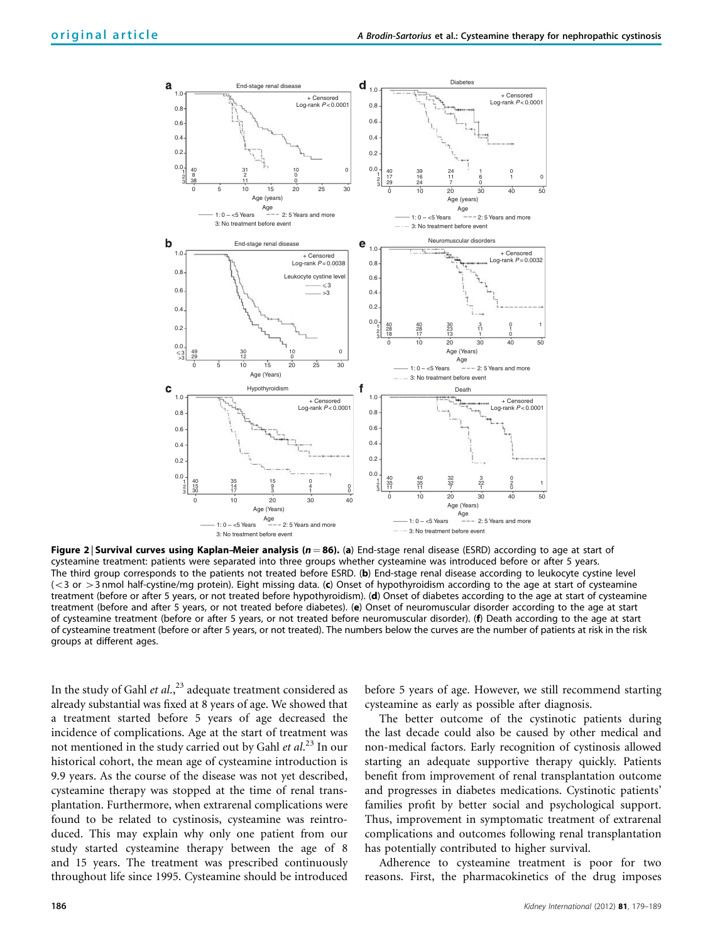<span id="page-7-0"></span>

Figure 2 | Survival curves using Kaplan-Meier analysis ( $n = 86$ ). (a) End-stage renal disease (ESRD) according to age at start of cysteamine treatment: patients were separated into three groups whether cysteamine was introduced before or after 5 years. The third group corresponds to the patients not treated before ESRD. (b) End-stage renal disease according to leukocyte cystine level  $\langle$  < 3 or > 3 nmol half-cystine/mg protein). Eight missing data. (c) Onset of hypothyroidism according to the age at start of cysteamine treatment (before or after 5 years, or not treated before hypothyroidism). (d) Onset of diabetes according to the age at start of cysteamine treatment (before and after 5 years, or not treated before diabetes). (e) Onset of neuromuscular disorder according to the age at start of cysteamine treatment (before or after 5 years, or not treated before neuromuscular disorder). (f) Death according to the age at start of cysteamine treatment (before or after 5 years, or not treated). The numbers below the curves are the number of patients at risk in the risk groups at different ages.

In the study of Gahl et  $al$ ,<sup>[23](#page-9-0)</sup> adequate treatment considered as already substantial was fixed at 8 years of age. We showed that a treatment started before 5 years of age decreased the incidence of complications. Age at the start of treatment was not mentioned in the study carried out by Gahl et al.<sup>[23](#page-9-0)</sup> In our historical cohort, the mean age of cysteamine introduction is 9.9 years. As the course of the disease was not yet described, cysteamine therapy was stopped at the time of renal transplantation. Furthermore, when extrarenal complications were found to be related to cystinosis, cysteamine was reintroduced. This may explain why only one patient from our study started cysteamine therapy between the age of 8 and 15 years. The treatment was prescribed continuously throughout life since 1995. Cysteamine should be introduced

before 5 years of age. However, we still recommend starting cysteamine as early as possible after diagnosis.

The better outcome of the cystinotic patients during the last decade could also be caused by other medical and non-medical factors. Early recognition of cystinosis allowed starting an adequate supportive therapy quickly. Patients benefit from improvement of renal transplantation outcome and progresses in diabetes medications. Cystinotic patients' families profit by better social and psychological support. Thus, improvement in symptomatic treatment of extrarenal complications and outcomes following renal transplantation has potentially contributed to higher survival.

Adherence to cysteamine treatment is poor for two reasons. First, the pharmacokinetics of the drug imposes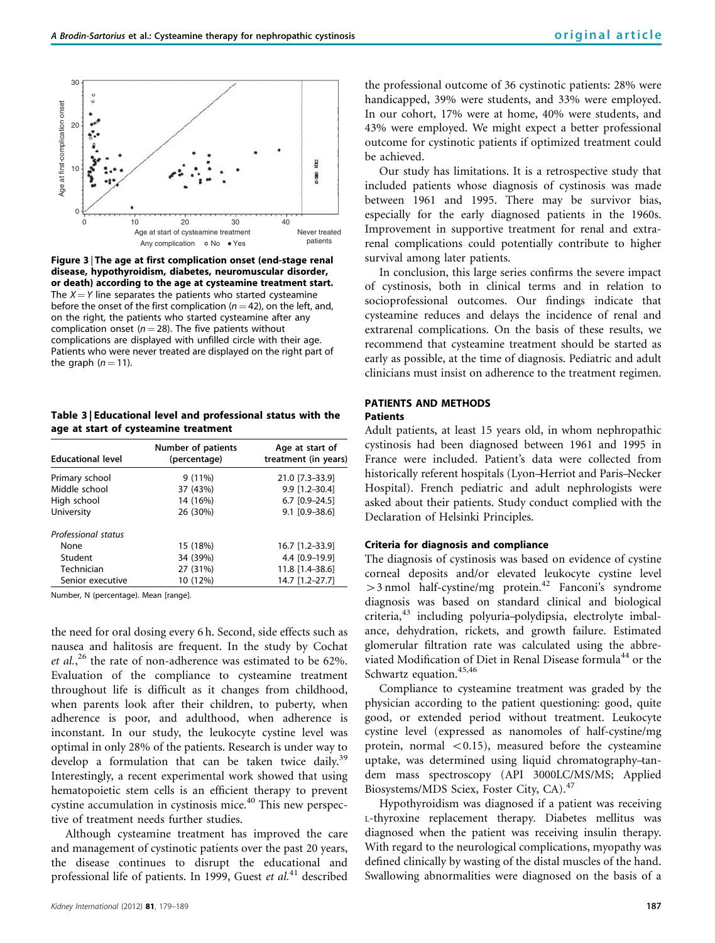<span id="page-8-0"></span>

Figure 3 | The age at first complication onset (end-stage renal disease, hypothyroidism, diabetes, neuromuscular disorder, or death) according to the age at cysteamine treatment start. The  $X = Y$  line separates the patients who started cysteamine before the onset of the first complication ( $n = 42$ ), on the left, and, on the right, the patients who started cysteamine after any complication onset ( $n = 28$ ). The five patients without complications are displayed with unfilled circle with their age. Patients who were never treated are displayed on the right part of the graph  $(n = 11)$ .

Table 3 | Educational level and professional status with the age at start of cysteamine treatment

| <b>Educational level</b> | Number of patients<br>(percentage) | Age at start of<br>treatment (in years) |
|--------------------------|------------------------------------|-----------------------------------------|
| Primary school           | $9(11\%)$                          | 21.0 [7.3-33.9]                         |
| Middle school            | 37 (43%)                           | $9.9$ [1.2-30.4]                        |
| High school              | 14 (16%)                           | $6.7$ [0.9-24.5]                        |
| University               | 26 (30%)                           | $9.1$ [0.9-38.6]                        |
| Professional status      |                                    |                                         |
| None                     | 15 (18%)                           | 16.7 [1.2–33.9]                         |
| Student                  | 34 (39%)                           | 4.4 [0.9-19.9]                          |
| Technician               | 27 (31%)                           | 11.8 [1.4-38.6]                         |
| Senior executive         | 10 (12%)                           | 14.7 [1.2-27.7]                         |

Number, N (percentage). Mean [range].

the need for oral dosing every 6 h. Second, side effects such as nausea and halitosis are frequent. In the study by Cochat et al.,<sup>[26](#page-9-0)</sup> the rate of non-adherence was estimated to be 62%. Evaluation of the compliance to cysteamine treatment throughout life is difficult as it changes from childhood, when parents look after their children, to puberty, when adherence is poor, and adulthood, when adherence is inconstant. In our study, the leukocyte cystine level was optimal in only 28% of the patients. Research is under way to develop a formulation that can be taken twice daily.<sup>[39](#page-10-0)</sup> Interestingly, a recent experimental work showed that using hematopoietic stem cells is an efficient therapy to prevent cystine accumulation in cystinosis mice.[40](#page-10-0) This new perspective of treatment needs further studies.

Although cysteamine treatment has improved the care and management of cystinotic patients over the past 20 years, the disease continues to disrupt the educational and professional life of patients. In 1999, Guest et  $al$ ,<sup>[41](#page-10-0)</sup> described

the professional outcome of 36 cystinotic patients: 28% were handicapped, 39% were students, and 33% were employed. In our cohort, 17% were at home, 40% were students, and 43% were employed. We might expect a better professional outcome for cystinotic patients if optimized treatment could be achieved.

Our study has limitations. It is a retrospective study that included patients whose diagnosis of cystinosis was made between 1961 and 1995. There may be survivor bias, especially for the early diagnosed patients in the 1960s. Improvement in supportive treatment for renal and extrarenal complications could potentially contribute to higher survival among later patients.

In conclusion, this large series confirms the severe impact of cystinosis, both in clinical terms and in relation to socioprofessional outcomes. Our findings indicate that cysteamine reduces and delays the incidence of renal and extrarenal complications. On the basis of these results, we recommend that cysteamine treatment should be started as early as possible, at the time of diagnosis. Pediatric and adult clinicians must insist on adherence to the treatment regimen.

## PATIENTS AND METHODS Patients

Adult patients, at least 15 years old, in whom nephropathic cystinosis had been diagnosed between 1961 and 1995 in France were included. Patient's data were collected from historically referent hospitals (Lyon–Herriot and Paris–Necker Hospital). French pediatric and adult nephrologists were asked about their patients. Study conduct complied with the Declaration of Helsinki Principles.

## Criteria for diagnosis and compliance

The diagnosis of cystinosis was based on evidence of cystine corneal deposits and/or elevated leukocyte cystine level  $>$ 3 nmol half-cystine/mg protein.<sup>[42](#page-10-0)</sup> Fanconi's syndrome diagnosis was based on standard clinical and biological criteria,<sup>[43](#page-10-0)</sup> including polyuria-polydipsia, electrolyte imbalance, dehydration, rickets, and growth failure. Estimated glomerular filtration rate was calculated using the abbre-viated Modification of Diet in Renal Disease formula<sup>[44](#page-10-0)</sup> or the Schwartz equation.<sup>[45,46](#page-10-0)</sup>

Compliance to cysteamine treatment was graded by the physician according to the patient questioning: good, quite good, or extended period without treatment. Leukocyte cystine level (expressed as nanomoles of half-cystine/mg protein, normal  $< 0.15$ ), measured before the cysteamine uptake, was determined using liquid chromatography–tandem mass spectroscopy (API 3000LC/MS/MS; Applied Biosystems/MDS Sciex, Foster City, CA).<sup>[47](#page-10-0)</sup>

Hypothyroidism was diagnosed if a patient was receiving L-thyroxine replacement therapy. Diabetes mellitus was diagnosed when the patient was receiving insulin therapy. With regard to the neurological complications, myopathy was defined clinically by wasting of the distal muscles of the hand. Swallowing abnormalities were diagnosed on the basis of a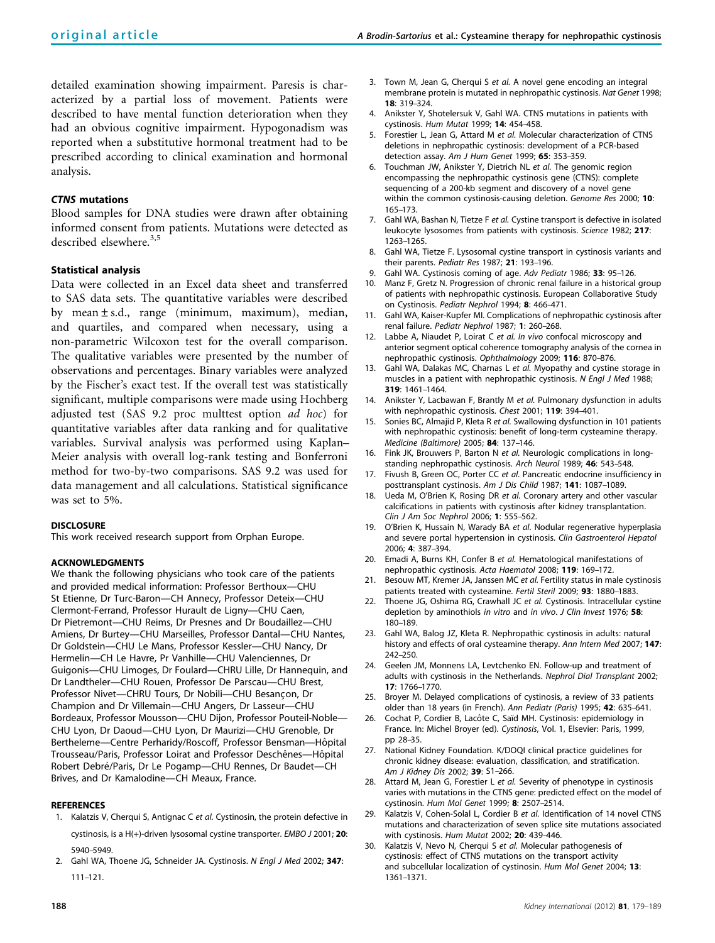<span id="page-9-0"></span>detailed examination showing impairment. Paresis is characterized by a partial loss of movement. Patients were described to have mental function deterioration when they had an obvious cognitive impairment. Hypogonadism was reported when a substitutive hormonal treatment had to be prescribed according to clinical examination and hormonal analysis.

# CTNS mutations

Blood samples for DNA studies were drawn after obtaining informed consent from patients. Mutations were detected as described elsewhere.<sup>3,5</sup>

## Statistical analysis

Data were collected in an Excel data sheet and transferred to SAS data sets. The quantitative variables were described by mean±s.d., range (minimum, maximum), median, and quartiles, and compared when necessary, using a non-parametric Wilcoxon test for the overall comparison. The qualitative variables were presented by the number of observations and percentages. Binary variables were analyzed by the Fischer's exact test. If the overall test was statistically significant, multiple comparisons were made using Hochberg adjusted test (SAS 9.2 proc multtest option ad hoc) for quantitative variables after data ranking and for qualitative variables. Survival analysis was performed using Kaplan– Meier analysis with overall log-rank testing and Bonferroni method for two-by-two comparisons. SAS 9.2 was used for data management and all calculations. Statistical significance was set to 5%.

#### DISCLOSURE

This work received research support from Orphan Europe.

#### ACKNOWLEDGMENTS

We thank the following physicians who took care of the patients and provided medical information: Professor Berthoux—CHU St Etienne, Dr Turc-Baron—CH Annecy, Professor Deteix—CHU Clermont-Ferrand, Professor Hurault de Ligny—CHU Caen, Dr Pietremont—CHU Reims, Dr Presnes and Dr Boudaillez—CHU Amiens, Dr Burtey—CHU Marseilles, Professor Dantal—CHU Nantes, Dr Goldstein—CHU Le Mans, Professor Kessler—CHU Nancy, Dr Hermelin—CH Le Havre, Pr Vanhille—CHU Valenciennes, Dr Guigonis—CHU Limoges, Dr Foulard—CHRU Lille, Dr Hannequin, and Dr Landtheler—CHU Rouen, Professor De Parscau—CHU Brest, Professor Nivet-CHRU Tours, Dr Nobili-CHU Besançon, Dr Champion and Dr Villemain—CHU Angers, Dr Lasseur—CHU Bordeaux, Professor Mousson—CHU Dijon, Professor Pouteil-Noble— CHU Lyon, Dr Daoud—CHU Lyon, Dr Maurizi—CHU Grenoble, Dr Bertheleme—Centre Perharidy/Roscoff, Professor Bensman—Hôpital Trousseau/Paris, Professor Loirat and Professor Deschênes-Hôpital Robert Debré/Paris, Dr Le Pogamp-CHU Rennes, Dr Baudet-CH Brives, and Dr Kamalodine—CH Meaux, France.

#### REFERENCES

- 1. Kalatzis V, Cherqui S, Antignac C et al. Cystinosin, the protein defective in cystinosis, is a H(+)-driven lysosomal cystine transporter. EMBO J 2001; 20: 5940–5949.
- 2. Gahl WA, Thoene JG, Schneider JA. Cystinosis. N Engl J Med 2002; 347: 111–121.
- 3. Town M, Jean G, Cherqui S et al. A novel gene encoding an integral membrane protein is mutated in nephropathic cystinosis. Nat Genet 1998; 18: 319–324.
- 4. Anikster Y, Shotelersuk V, Gahl WA. CTNS mutations in patients with cystinosis. Hum Mutat 1999; 14: 454–458.
- 5. Forestier L, Jean G, Attard M et al. Molecular characterization of CTNS deletions in nephropathic cystinosis: development of a PCR-based detection assay. Am J Hum Genet 1999; 65: 353-359.
- 6. Touchman JW, Anikster Y, Dietrich NL et al. The genomic region encompassing the nephropathic cystinosis gene (CTNS): complete sequencing of a 200-kb segment and discovery of a novel gene within the common cystinosis-causing deletion. Genome Res 2000; 10: 165–173.
- 7. Gahl WA, Bashan N, Tietze F et al. Cystine transport is defective in isolated leukocyte lysosomes from patients with cystinosis. Science 1982; 217: 1263–1265.
- 8. Gahl WA, Tietze F. Lysosomal cystine transport in cystinosis variants and their parents. Pediatr Res 1987; 21: 193–196.
- 9. Gahl WA. Cystinosis coming of age. Adv Pediatr 1986; 33: 95-126.
- 10. Manz F, Gretz N. Progression of chronic renal failure in a historical group of patients with nephropathic cystinosis. European Collaborative Study on Cystinosis. Pediatr Nephrol 1994; 8: 466–471.
- 11. Gahl WA, Kaiser-Kupfer MI. Complications of nephropathic cystinosis after renal failure. Pediatr Nephrol 1987; 1: 260–268.
- 12. Labbe A, Niaudet P, Loirat C et al. In vivo confocal microscopy and anterior segment optical coherence tomography analysis of the cornea in nephropathic cystinosis. Ophthalmology 2009; 116: 870–876.
- 13. Gahl WA, Dalakas MC, Charnas L et al. Myopathy and cystine storage in muscles in a patient with nephropathic cystinosis. N Engl J Med 1988; 319: 1461–1464.
- 14. Anikster Y, Lacbawan F, Brantly M et al. Pulmonary dysfunction in adults with nephropathic cystinosis. Chest 2001; 119: 394–401.
- 15. Sonies BC, Almajid P, Kleta R et al. Swallowing dysfunction in 101 patients with nephropathic cystinosis: benefit of long-term cysteamine therapy. Medicine (Baltimore) 2005; 84: 137–146.
- 16. Fink JK, Brouwers P, Barton N et al. Neurologic complications in longstanding nephropathic cystinosis. Arch Neurol 1989; 46: 543–548.
- 17. Fivush B, Green OC, Porter CC et al. Pancreatic endocrine insufficiency in posttransplant cystinosis. Am J Dis Child 1987; 141: 1087–1089.
- 18. Ueda M, O'Brien K, Rosing DR et al. Coronary artery and other vascular calcifications in patients with cystinosis after kidney transplantation. Clin J Am Soc Nephrol 2006; 1: 555–562.
- 19. O'Brien K, Hussain N, Warady BA et al. Nodular regenerative hyperplasia and severe portal hypertension in cystinosis. Clin Gastroenterol Hepatol 2006; 4: 387–394.
- 20. Emadi A, Burns KH, Confer B et al. Hematological manifestations of nephropathic cystinosis. Acta Haematol 2008; 119: 169–172.
- 21. Besouw MT, Kremer JA, Janssen MC et al. Fertility status in male cystinosis patients treated with cysteamine. Fertil Steril 2009; 93: 1880–1883.
- 22. Thoene JG, Oshima RG, Crawhall JC et al. Cystinosis. Intracellular cystine depletion by aminothiols in vitro and in vivo. J Clin Invest 1976; 58: 180–189.
- 23. Gahl WA, Balog JZ, Kleta R. Nephropathic cystinosis in adults: natural history and effects of oral cysteamine therapy. Ann Intern Med 2007; 147: 242–250.
- 24. Geelen JM, Monnens LA, Levtchenko EN. Follow-up and treatment of adults with cystinosis in the Netherlands. Nephrol Dial Transplant 2002; 17: 1766–1770.
- 25. Broyer M. Delayed complications of cystinosis, a review of 33 patients older than 18 years (in French). Ann Pediatr (Paris) 1995; 42: 635–641.
- 26. Cochat P, Cordier B, Lacôte C, Saïd MH. Cystinosis: epidemiology in France. In: Michel Broyer (ed). Cystinosis, Vol. 1, Elsevier: Paris, 1999, pp 28–35.
- 27. National Kidney Foundation. K/DOQI clinical practice guidelines for chronic kidney disease: evaluation, classification, and stratification. Am J Kidney Dis 2002; 39: S1–266.
- 28. Attard M, Jean G, Forestier L et al. Severity of phenotype in cystinosis varies with mutations in the CTNS gene: predicted effect on the model of cystinosin. Hum Mol Genet 1999; 8: 2507–2514.
- 29. Kalatzis V, Cohen-Solal L, Cordier B et al. Identification of 14 novel CTNS mutations and characterization of seven splice site mutations associated with cystinosis. Hum Mutat 2002; 20: 439–446.
- 30. Kalatzis V, Nevo N, Cherqui S et al. Molecular pathogenesis of cystinosis: effect of CTNS mutations on the transport activity and subcellular localization of cystinosin. Hum Mol Genet 2004; 13: 1361–1371.